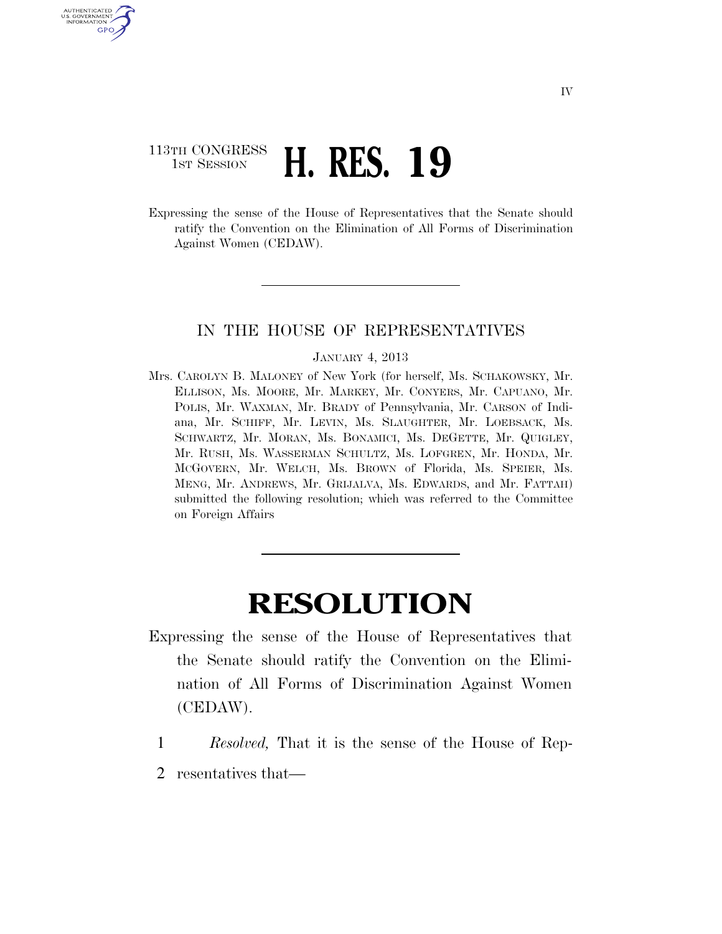## 113TH CONGRESS **1ST SESSION <b>H. RES. 19**

U.S. GOVERNMENT GPO

> Expressing the sense of the House of Representatives that the Senate should ratify the Convention on the Elimination of All Forms of Discrimination Against Women (CEDAW).

## IN THE HOUSE OF REPRESENTATIVES

## JANUARY 4, 2013

Mrs. CAROLYN B. MALONEY of New York (for herself, Ms. SCHAKOWSKY, Mr. ELLISON, Ms. MOORE, Mr. MARKEY, Mr. CONYERS, Mr. CAPUANO, Mr. POLIS, Mr. WAXMAN, Mr. BRADY of Pennsylvania, Mr. CARSON of Indiana, Mr. SCHIFF, Mr. LEVIN, Ms. SLAUGHTER, Mr. LOEBSACK, Ms. SCHWARTZ, Mr. MORAN, Ms. BONAMICI, Ms. DEGETTE, Mr. QUIGLEY, Mr. RUSH, Ms. WASSERMAN SCHULTZ, Ms. LOFGREN, Mr. HONDA, Mr. MCGOVERN, Mr. WELCH, Ms. BROWN of Florida, Ms. SPEIER, Ms. MENG, Mr. ANDREWS, Mr. GRIJALVA, Ms. EDWARDS, and Mr. FATTAH) submitted the following resolution; which was referred to the Committee on Foreign Affairs

## **RESOLUTION**

- Expressing the sense of the House of Representatives that the Senate should ratify the Convention on the Elimination of All Forms of Discrimination Against Women (CEDAW).
- 1 *Resolved,* That it is the sense of the House of Rep-
- 2 resentatives that—